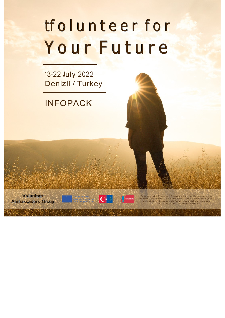Volunteer Ambassadors Group



# tf o l u n t e e r f o r Your Future

"Funded by the Erasmus+ Programme of the European Union. However, European Commission and Turkish National Agency<br>cannot be held responsible for any use which may be made of the information contained therein'

13-22 July 2022 Denizli / Turkey

## INFOPACK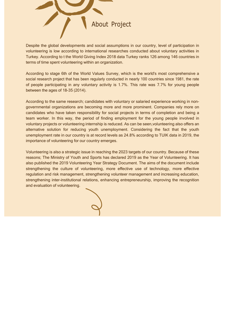

Despite the global developments and social assumptions in our country, level of participation in volunteering is low according to international researches conducted about voluntary activities in Turkey. According to t the World Giving Index 2018 data Turkey ranks 126 among 146 countries in terms of time spent volunteering within an organization.

According to stage 6th of the World Values Survey, which is the world's most comprehensive a social research project that has been regularly conducted in nearly 100 countries since 1981, the rate of people participating in any voluntary activity is 1.7%. This rate was 7.7% for young people between the ages of 18-35 (2014).

According to the same research; candidates with voluntary or salaried experience working in nongovernmental organizations are becoming more and more prominent. Companies rely more on candidates who have taken responsibility for social projects in terms of completion and being a team worker. In this way, the period of finding employment for the young people involved in voluntary projects or volunteering internship is reduced. As can be seen,volunteering also offers an alternative solution for reducing youth unemployment. Considering the fact that the youth unemployment rate in our country is at record levels as 24.8% according to TUIK data in 2019, the importance of volunteering for our country emerges.

Volunteering is also a strategic issue in reaching the 2023 targets of our country. Because of these reasons; The Ministry of Youth and Sports has declared 2019 as the Year of Volunteering. It has also published the 2019 Volunteering Year Strategy Document. The aims of the document include strengthening the culture of volunteering, more effective use of technology, more effective regulation and risk management, strengthening volunteer management and increasing education, strengthening inter-institutional relations, enhancing entrepreneurship, improving the recognition and evaluation of volunteering.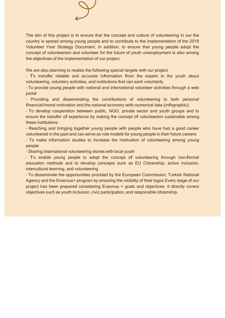

The aim of this project is to ensure that the concept and culture of volunteering in our the country is spread among young people and to contribute to the implementation of the 2019 Volunteer Year Strategy Document. In addition, to ensure that young people adopt the concept of volunteerism and volunteer for the future of youth unemployment is also among the objectives of the implementation of our project.

We are also planning to realize the following special targets with our project.

- To transfer reliable and <sup>a</sup>ccurate information from the experts to the youth <sup>a</sup>bout volunteering, voluntary activities, and institutions that can work voluntarily

- To provide young people with national and international volunteer activities through a web portal

- Providing and disseminating the contributions of volunteering to both personal financial/moral motivation and the national <sup>e</sup>conomy with numerical data (infographic)

- To develop cooperation between public, NGO, private sector and youth groups and to ensure the transfer of experience b<sup>y</sup> making the concept of volunteerism sustainable among these institutions.

- Reaching and bringing together young people with people who have had a good career volunteered in the past and can serve as role models for young people in their future careers

- To make information studies to increase the motivation of volunteering among young people

- Sharing international volunteering stories with local youth

- To enable young people to adopt the concept of volunteering through non-formal education methods and to develop concepts such as EU Citizenship, active inclusion, intercultural learning, and volunteering

- To disseminate the opportunities provided by the European Commission, Turkish National Agency and the Erasmus+ program by ensuring the visibility of their logos Every stage of our project has been prepared considering Erasmus + goals and objectives. It directly covers objectives such as youth inclusion, civic participation, and responsible citizenship.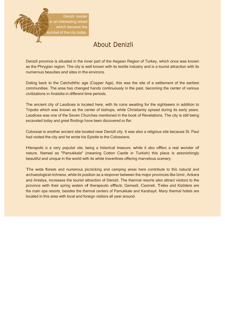## About Denizli

Denizli province is situated in the inner part of the Aegean Region of Turkey, which once was known as the Phrygian region. The city is well known with its textile industry and is a tourist attraction with its numerous beauties and sites in the environs.

Dating back to the Calcholithic age (Copper Age), this was the site of a settlement of the earliest communities. The area has changed hands continuously in the past, becoming the center of various civilizations in Anatolia in different time periods.

The ancient city of Laodicea is located here, with its ruins awaiting for the sightseers in addition to Tripolis which was known as the center of bishops, while Christianity spread during its early years. Laodicea was one of the Seven Churches mentioned in the book of Revelations. The city is still being excavated today and great findings have been discovered so far.

Colossae is another ancient site located near Denizli city. It was also a religious site because St. Paul had visited the city and he wrote his Epistle to the Colossians.

Hierapolis is <sup>a</sup> very popular site, being <sup>a</sup> historical treasure, while it also offers <sup>a</sup> real wonder of nature. Named as "Pamukkale" (meaning Cotton Castle in Turkish) this place is astonishingly beautiful and unique in the world with its white travertines offering marvelous scenery.

The wide forests and numerous picnicking and camping areas here contribute to this natural and archaeological richness, while its position as a stopover between the major provinces like Izmir, Ankara and Antalya, increases the tourist attraction of Denizli. The thermal resorts also attract visitors to the provinc<sup>e</sup> with their spring waters of therapeutic effe<sup>c</sup>ts; Gemezli, Cezmeli, Tekke and Kizildere are the main spa resorts, besides the thermal centers of Pamukkale and Karahayit. Many thermal hotels are located in this area with local and foreign visitors all year around.

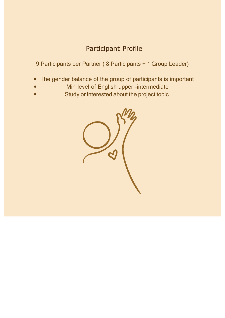## Participant Profile

9 Participants per Partner ( 8 Participants + 1 Group Leader)

- The gender balance of the group of participants is important  $\bullet$
- Min level of English upper -intermediate
- Study or interested about the project topic

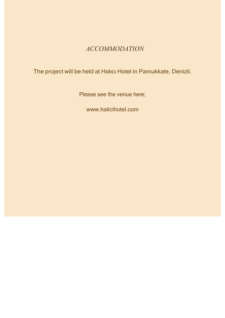### ACCOMMODATION

The project will be held at Halıcı Hotel in Pamukkale, Denizli.

Please see the venue here;

www.halicihotel.com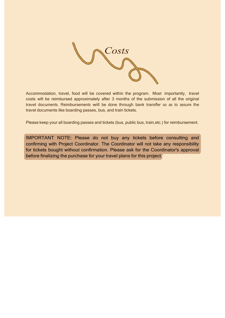IMPORTANT NOTE: Please do not buy any tickets before consulting and confirming with Project Coordinator. The Coordinator will not take any responsibility for tickets bought without confirmation. Please ask for the Coordinator's approval before finalizing the purchase for your travel plans for this project.

Accommodation, travel, food will be covered within the program. Most importantly, travel costs will be reimbursed approximately after 3 months of the submission of all the original travel documents. Reimbursements will b<sup>e</sup> done through bank transfer so as to assure the travel documents like boarding passes, bus, and train tickets.

Please keep your all boarding passes and tickets (bus, public bus, train,etc.) for reimbursement.

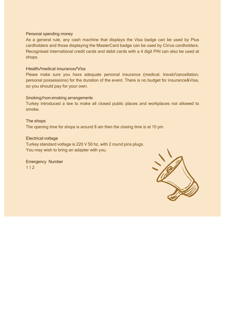#### Personal spending money

As a general rule, any cash machine that displays the Visa badge can be used by Plus cardholders and those displaying the MasterCard badge can be used by Cirrus cardholders. Recognised international credit cards and debit cards with a 4 digit PIN can also be used at shops.

#### Health/medical insurance/Visa

The shops The opening time for shops is around 8 am then the closing time is at 10 pm.

Please make sure you have adequate personal insuranc<sup>e</sup> (medical, travel/cancellation, personal possessions) for the duration of the event. There is no budget for insurance&Visa, so you should pay for your own.

#### Smoking/non-smoking arrangements

Turkey introduced a law to make all closed public places and workplaces not allowed to smoke.

#### Electrical voltage

Turkey standard voltage is 220 V 50 hz, with 2 round pins plugs. You may wish to bring an adapter with you.

Emergency Number 1 1 2